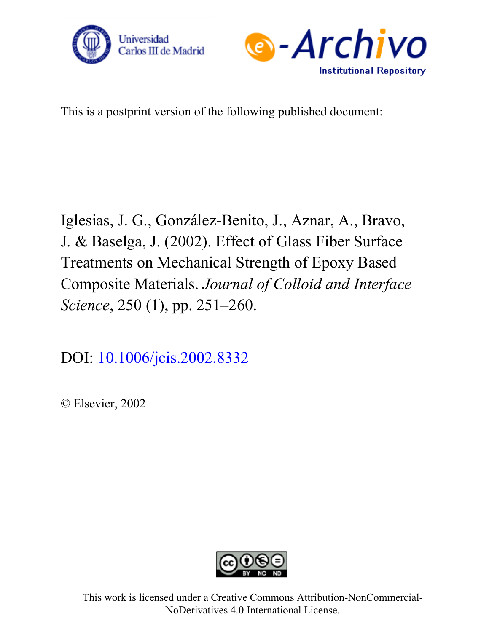



This is a postprint version of the following published document:

Iglesias, J. G., González-Benito, J., Aznar, A., Bravo, J. & Baselga, J. (2002). Effect of Glass Fiber Surface Treatments on Mechanical Strength of Epoxy Based Composite Materials. *Journal of Colloid and Interface Science*, 250 (1), pp. 251–260.

[DOI: 10.1006/jcis.2002.8332](https://doi.org/10.1006/jcis.2002.8332)

© Elsevier, 2002



This work is licensed under a Creative Commons Attribution-NonCommercial-NoDerivatives 4.0 International License.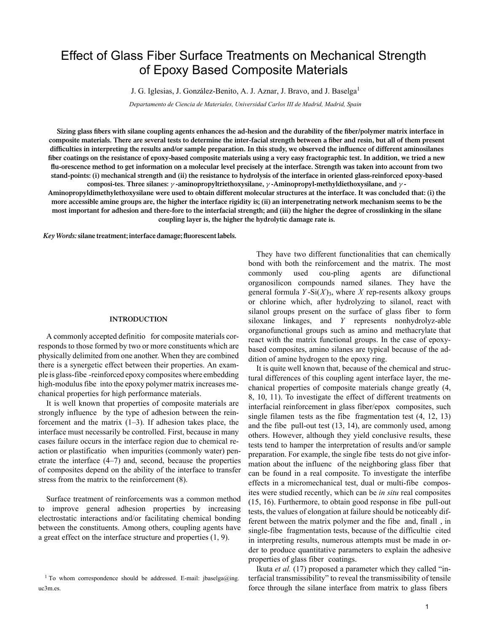# Effect of Glass Fiber Surface Treatments on Mechanical Strength of Epoxy Based Composite Materials

J. G. Iglesias, J. González-Benito, A. J. Aznar, J. Bravo, and J. Baselga<sup>1</sup>

*Departamento de Ciencia de Materiales, Universidad Carlos III de Madrid, Madrid, Spain*

Sizing glass fibers with silane coupling agents enhances the ad-hesion and the durability of the fiber/polymer matrix interface in composite materials. There are several tests to determine the inter-facial strength between a fiber and resin, but all of them present difficulties in interpreting the results and/or sample preparation. In this study, we observed the influence of different aminosilanes fiber coatings on the resistance of epoxy-based composite materials using a very easy fractographic test. In addition, we tried a new flu-orescence method to get information on a molecular level precisely at the interface. Strength was taken into account from two stand-points: (i) mechanical strength and (ii) the resistance to hydrolysis of the interface in oriented glass-reinforced epoxy-based **composi-tes. Three silanes:** γ **-aminopropyltriethoxysilane,** γ **-Aminopropyl-methyldiethoxysilane, and** γ **-**

Aminopropyldimethylethoxysilane were used to obtain different molecular structures at the interface. It was concluded that: (i) the more accessible amine groups are, the higher the interface rigidity is; (ii) an interpenetrating network mechanism seems to be the most important for adhesion and there-fore to the interfacial strength; and (iii) the higher the degree of crosslinking in the silane **coupling layer is, the higher the hydrolytic damage rate is.**

*Key Words:***silane treatment; interface damage; fluorescent labels.**

### **INTRODUCTION**

A commonly accepted definitio for composite materials corresponds to those formed by two or more constituents which are physically delimited from one another. When they are combined there is a synergetic effect between their properties. An example is glass-fibe -reinforced epoxy composites where embedding high-modulus fibe into the epoxy polymer matrix increases mechanical properties for high performance materials.

It is well known that properties of composite materials are strongly influence by the type of adhesion between the reinforcement and the matrix  $(1-3)$ . If adhesion takes place, the interface must necessarily be controlled. First, because in many cases failure occurs in the interface region due to chemical reaction or plastificatio when impurities (commonly water) penetrate the interface (4–7) and, second, because the properties of composites depend on the ability of the interface to transfer stress from the matrix to the reinforcement (8).

Surface treatment of reinforcements was a common method to improve general adhesion properties by increasing electrostatic interactions and/or facilitating chemical bonding between the constituents. Among others, coupling agents have a great effect on the interface structure and properties (1, 9).

They have two different functionalities that can chemically bond with both the reinforcement and the matrix. The most commonly used cou-pling agents are difunctional organosilicon compounds named silanes. They have the general formula  $Y-Si(X)$ <sub>3</sub>, where *X* rep-resents alkoxy groups or chlorine which, after hydrolyzing to silanol, react with silanol groups present on the surface of glass fiber to form siloxane linkages, and *Y* represents nonhydrolyz-able organofunctional groups such as amino and methacrylate that react with the matrix functional groups. In the case of epoxybased composites, amino silanes are typical because of the addition of amine hydrogen to the epoxy ring.

It is quite well known that, because of the chemical and structural differences of this coupling agent interface layer, the mechanical properties of composite materials change greatly (4, 8, 10, 11). To investigate the effect of different treatments on interfacial reinforcement in glass fiber/epox composites, such single filamen tests as the fibe fragmentation test (4, 12, 13) and the fibe pull-out test (13, 14), are commonly used, among others. However, although they yield conclusive results, these tests tend to hamper the interpretation of results and/or sample preparation. For example, the single fibe tests do not give information about the influenc of the neighboring glass fiber that can be found in a real composite. To investigate the interfibe effects in a micromechanical test, dual or multi-fibe composites were studied recently, which can be *in situ* real composites (15, 16). Furthermore, to obtain good response in fibe pull-out tests, the values of elongation at failure should be noticeably different between the matrix polymer and the fibe and, finall , in single-fibe fragmentation tests, because of the difficultie cited in interpreting results, numerous attempts must be made in order to produce quantitative parameters to explain the adhesive properties of glass fiber coatings.

Ikuta *et al.* (17) proposed a parameter which they called "interfacial transmissibility" to reveal the transmissibility of tensile force through the silane interface from matrix to glass fibers

<sup>&</sup>lt;sup>1</sup> To whom correspondence should be addressed. E-mail: jbaselga@ing. uc3m.es.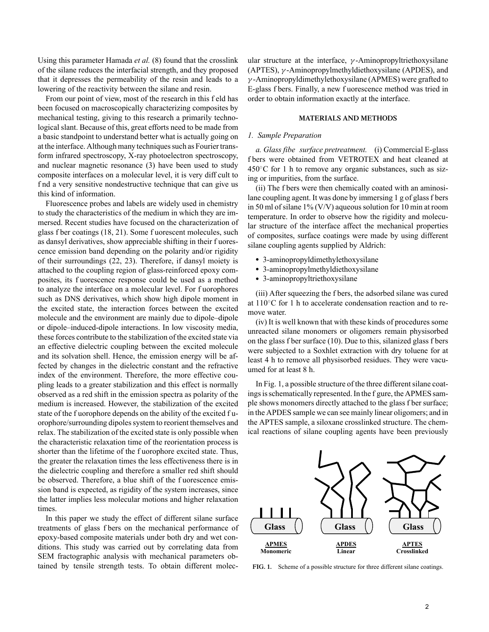Using this parameter Hamada *et al.* (8) found that the crosslink of the silane reduces the interfacial strength, and they proposed that it depresses the permeability of the resin and leads to a lowering of the reactivity between the silane and resin.

From our point of view, most of the research in this f eld has been focused on macroscopically characterizing composites by mechanical testing, giving to this research a primarily technological slant. Because of this, great efforts need to be made from a basic standpoint to understand better what is actually going on at the interface. Although many techniques such as Fourier transform infrared spectroscopy, X-ray photoelectron spectroscopy, and nuclear magnetic resonance (3) have been used to study composite interfaces on a molecular level, it is very diff cult to f nd a very sensitive nondestructive technique that can give us this kind of information.

Fluorescence probes and labels are widely used in chemistry to study the characteristics of the medium in which they are immersed. Recent studies have focused on the characterization of glass f ber coatings (18, 21). Some f uorescent molecules, such as dansyl derivatives, show appreciable shifting in their f uorescence emission band depending on the polarity and/or rigidity of their surroundings (22, 23). Therefore, if dansyl moiety is attached to the coupling region of glass-reinforced epoxy composites, its f uorescence response could be used as a method to analyze the interface on a molecular level. For f uorophores such as DNS derivatives, which show high dipole moment in the excited state, the interaction forces between the excited molecule and the environment are mainly due to dipole–dipole or dipole–induced-dipole interactions. In low viscosity media, these forces contribute to the stabilization of the excited state via an effective dielectric coupling between the excited molecule and its solvation shell. Hence, the emission energy will be affected by changes in the dielectric constant and the refractive index of the environment. Therefore, the more effective coupling leads to a greater stabilization and this effect is normally observed as a red shift in the emission spectra as polarity of the medium is increased. However, the stabilization of the excited state of the f uorophore depends on the ability of the excited f uorophore/surrounding dipoles system to reorient themselves and relax. The stabilization of the excited state is only possible when the characteristic relaxation time of the reorientation process is shorter than the lifetime of the f uorophore excited state. Thus, the greater the relaxation times the less effectiveness there is in the dielectric coupling and therefore a smaller red shift should be observed. Therefore, a blue shift of the f uorescence emission band is expected, as rigidity of the system increases, since the latter implies less molecular motions and higher relaxation times.

In this paper we study the effect of different silane surface treatments of glass f bers on the mechanical performance of epoxy-based composite materials under both dry and wet conditions. This study was carried out by correlating data from SEM fractographic analysis with mechanical parameters obtained by tensile strength tests. To obtain different molecular structure at the interface,  $\gamma$ -Aminopropyltriethoxysilane (APTES), γ -Aminopropylmethyldiethoxysilane (APDES), and  $\gamma$ -Aminopropyldimethylethoxysilane (APMES) were grafted to E-glass f bers. Finally, a new f uorescence method was tried in order to obtain information exactly at the interface.

## **MATERIALS AND METHODS**

## *1. Sample Preparation*

*a. Glass fibe surface pretreatment.* (i) Commercial E-glass f bers were obtained from VETROTEX and heat cleaned at  $450^{\circ}$ C for 1 h to remove any organic substances, such as sizing or impurities, from the surface.

(ii) The f bers were then chemically coated with an aminosilane coupling agent. It was done by immersing 1 g of glass f bers in 50 ml of silane 1% (V/V) aqueous solution for 10 min at room temperature. In order to observe how the rigidity and molecular structure of the interface affect the mechanical properties of composites, surface coatings were made by using different silane coupling agents supplied by Aldrich:

- 3-aminopropyldimethylethoxysilane
- 3-aminopropylmethyldiethoxysilane
- 3-aminopropyltriethoxysilane

(iii) After squeezing the f bers, the adsorbed silane was cured at 110◦C for 1 h to accelerate condensation reaction and to remove water.

(iv) It is well known that with these kinds of procedures some unreacted silane monomers or oligomers remain physisorbed on the glass f ber surface (10). Due to this, silanized glass f bers were subjected to a Soxhlet extraction with dry toluene for at least 4 h to remove all physisorbed residues. They were vacuumed for at least 8 h.

In Fig. 1, a possible structure of the three different silane coatings is schematically represented. In the f gure, the APMES sample shows monomers directly attached to the glass f ber surface; in the APDES sample we can see mainly linear oligomers; and in the APTES sample, a siloxane crosslinked structure. The chemical reactions of silane coupling agents have been previously



**FIG. 1.** Scheme of a possible structure for three different silane coatings.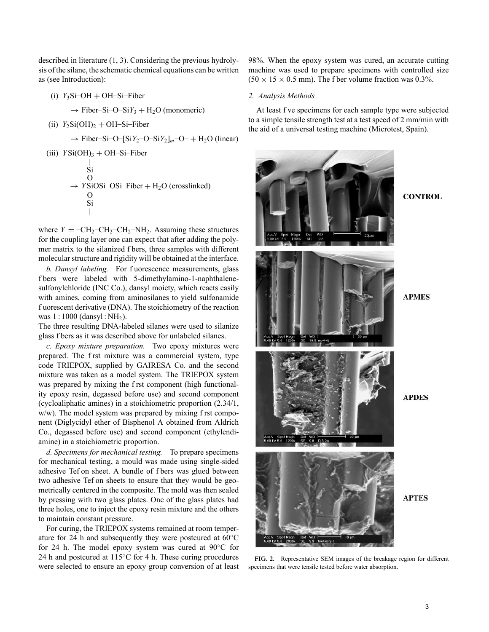described in literature (1, 3). Considering the previous hydrolysis of the silane, the schematic chemical equations can be written as (see Introduction):

- $(i)$  *Y*<sub>3</sub>Si–OH + OH–Si–Fiber
	- $\rightarrow$  Fiber–Si–O–Si*Y*<sub>3</sub> + H<sub>2</sub>O (monomeric)
- (ii)  $Y_2Si(OH)_2 + OH-Si-Fiber$

 $\rightarrow$  Fiber–Si–O–[Si*Y*<sub>2</sub>–O–Si*Y*<sub>2</sub>]<sub>*m*</sub>–O– + H<sub>2</sub>O (linear)

(iii) *Y* Si(OH)3 + OH–Si–Fiber | Si O → *Y* SiOSi–OSi–Fiber + H2O (crosslinked) O Si |

where  $Y = -CH_2-CH_2-H_2-H_1$ . Assuming these structures for the coupling layer one can expect that after adding the polymer matrix to the silanized f bers, three samples with different molecular structure and rigidity will be obtained at the interface.

*b. Dansyl labeling.* For f uorescence measurements, glass f bers were labeled with 5-dimethylamino-1-naphthalenesulfonylchloride (INC Co.), dansyl moiety, which reacts easily with amines, coming from aminosilanes to yield sulfonamide f uorescent derivative (DNA). The stoichiometry of the reaction was 1 : 1000 (dansyl : NH<sub>2</sub>).

The three resulting DNA-labeled silanes were used to silanize glass f bers as it was described above for unlabeled silanes.

*c. Epoxy mixture preparation.* Two epoxy mixtures were prepared. The f rst mixture was a commercial system, type code TRIEPOX, supplied by GAIRESA Co. and the second mixture was taken as a model system. The TRIEPOX system was prepared by mixing the f rst component (high functionality epoxy resin, degassed before use) and second component (cycloaliphatic amines) in a stoichiometric proportion (2.34/1, w/w). The model system was prepared by mixing f rst component (Diglycidyl ether of Bisphenol A obtained from Aldrich Co., degassed before use) and second component (ethylendiamine) in a stoichiometric proportion.

*d. Specimens for mechanical testing.* To prepare specimens for mechanical testing, a mould was made using single-sided adhesive Tef on sheet. A bundle of f bers was glued between two adhesive Tef on sheets to ensure that they would be geometrically centered in the composite. The mold was then sealed by pressing with two glass plates. One of the glass plates had three holes, one to inject the epoxy resin mixture and the others to maintain constant pressure.

For curing, the TRIEPOX systems remained at room temperature for 24 h and subsequently they were postcured at 60◦C for 24 h. The model epoxy system was cured at 90◦C for 24 h and postcured at  $115^{\circ}$ C for 4 h. These curing procedures were selected to ensure an epoxy group conversion of at least 98%. When the epoxy system was cured, an accurate cutting machine was used to prepare specimens with controlled size  $(50 \times 15 \times 0.5 \text{ mm})$ . The f ber volume fraction was 0.3%.

# *2. Analysis Methods*

At least f ve specimens for each sample type were subjected to a simple tensile strength test at a test speed of 2 mm/min with the aid of a universal testing machine (Microtest, Spain).



**FIG. 2.** Representative SEM images of the breakage region for different specimens that were tensile tested before water absorption.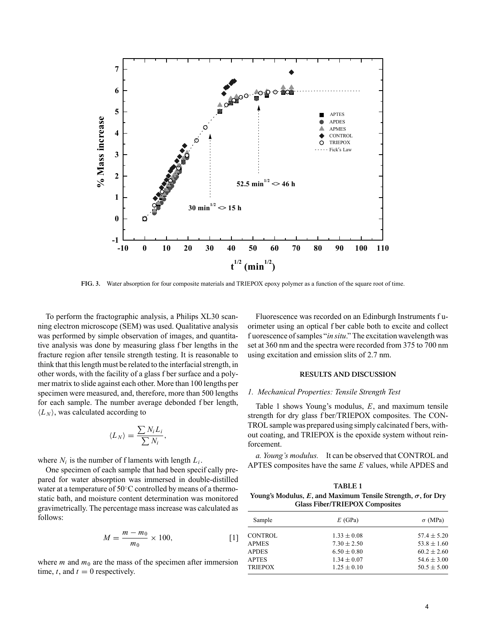

**FIG. 3.** Water absorption for four composite materials and TRIEPOX epoxy polymer as a function of the square root of time.

To perform the fractographic analysis, a Philips XL30 scanning electron microscope (SEM) was used. Qualitative analysis was performed by simple observation of images, and quantitative analysis was done by measuring glass f ber lengths in the fracture region after tensile strength testing. It is reasonable to think that this length must be related to the interfacial strength, in other words, with the facility of a glass f ber surface and a polymer matrix to slide against each other. More than 100 lengths per specimen were measured, and, therefore, more than 500 lengths for each sample. The number average debonded f ber length,  $\langle L_N \rangle$ , was calculated according to

$$
\langle L_N \rangle = \frac{\sum N_i L_i}{\sum N_i},
$$

where  $N_i$  is the number of f laments with length  $L_i$ .

One specimen of each sample that had been specif cally prepared for water absorption was immersed in double-distilled water at a temperature of 50◦C controlled by means of a thermostatic bath, and moisture content determination was monitored gravimetrically. The percentage mass increase was calculated as follows:

$$
M = \frac{m - m_0}{m_0} \times 100,
$$
 [1]

where *m* and  $m_0$  are the mass of the specimen after immersion time,  $t$ , and  $t = 0$  respectively.

Fluorescence was recorded on an Edinburgh Instruments f uorimeter using an optical f ber cable both to excite and collect f uorescence of samples "*in situ*." The excitation wavelength was set at 360 nm and the spectra were recorded from 375 to 700 nm using excitation and emission slits of 2.7 nm.

#### **RESULTS AND DISCUSSION**

#### *1. Mechanical Properties: Tensile Strength Test*

Table 1 shows Young's modulus, *E*, and maximum tensile strength for dry glass f ber/TRIEPOX composites. The CON-TROL sample was prepared using simply calcinated f bers, without coating, and TRIEPOX is the epoxide system without reinforcement.

*a. Young's modulus.* It can be observed that CONTROL and APTES composites have the same *E* values, while APDES and

| <b>TABLE 1</b>                                                       |
|----------------------------------------------------------------------|
| Young's Modulus, E, and Maximum Tensile Strength, $\sigma$ , for Dry |
| <b>Glass Fiber/TRIEPOX Composites</b>                                |

| Sample         | $E$ (GPa)       | $\sigma$ (MPa)  |
|----------------|-----------------|-----------------|
| <b>CONTROL</b> | $1.33 \pm 0.08$ | $57.4 \pm 5.20$ |
| <b>APMES</b>   | $7.30 \pm 2.50$ | $53.8 \pm 1.60$ |
| <b>APDES</b>   | $6.50 \pm 0.80$ | $60.2 \pm 2.60$ |
| <b>APTES</b>   | $1.34 \pm 0.07$ | $54.6 \pm 3.00$ |
| <b>TRIEPOX</b> | $1.25 \pm 0.10$ | $50.5 \pm 5.00$ |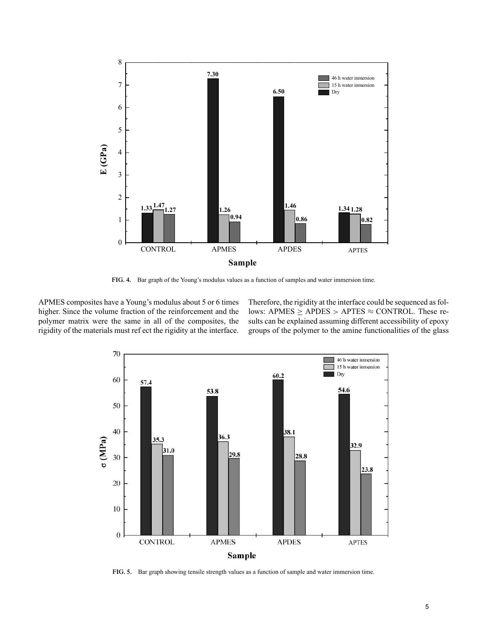

**FIG. 4.** Bar graph of the Young's modulus values as a function of samples and water immersion time.

APMES composites have a Young's modulus about 5 or 6 times higher. Since the volume fraction of the reinforcement and the polymer matrix were the same in all of the composites, the rigidity of the materials must ref ect the rigidity at the interface.

Therefore, the rigidity at the interface could be sequenced as follows: APMES  $\geq$  APDES  $>$  APTES  $\approx$  CONTROL. These results can be explained assuming different accessibility of epoxy groups of the polymer to the amine functionalities of the glass



**FIG. 5.** Bar graph showing tensile strength values as a function of sample and water immersion time.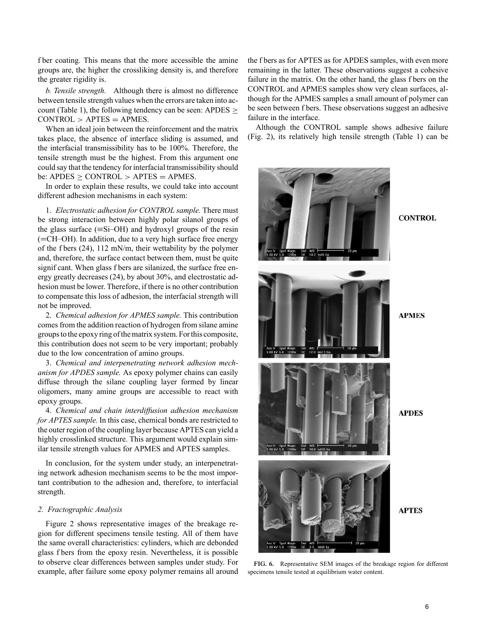f ber coating. This means that the more accessible the amine groups are, the higher the crossliking density is, and therefore the greater rigidity is.

*b. Tensile strength.* Although there is almost no difference between tensile strength values when the errors are taken into account (Table 1), the following tendency can be seen: APDES  $\geq$  $CONTROL > APTES = APMES$ .

When an ideal join between the reinforcement and the matrix takes place, the absence of interface sliding is assumed, and the interfacial transmissibility has to be 100%. Therefore, the tensile strength must be the highest. From this argument one could say that the tendency for interfacial transmissibility should be: APDES  $\geq$  CONTROL  $>$  APTES  $=$  APMES.

In order to explain these results, we could take into account different adhesion mechanisms in each system:

1. *Electrostatic adhesion for CONTROL sample.* There must be strong interaction between highly polar silanol groups of the glass surface  $(\equiv S_i$ -OH) and hydroxyl groups of the resin (=CH–OH). In addition, due to a very high surface free energy of the f bers (24), 112 mN/m, their wettability by the polymer and, therefore, the surface contact between them, must be quite signif cant. When glass f bers are silanized, the surface free energy greatly decreases (24), by about 30%, and electrostatic adhesion must be lower. Therefore, if there is no other contribution to compensate this loss of adhesion, the interfacial strength will not be improved.

2. *Chemical adhesion for APMES sample.* This contribution comes from the addition reaction of hydrogen from silane amine groups to the epoxy ring of the matrix system. For this composite, this contribution does not seem to be very important; probably due to the low concentration of amino groups.

3. *Chemical and interpenetrating network adhesion mechanism for APDES sample.* As epoxy polymer chains can easily diffuse through the silane coupling layer formed by linear oligomers, many amine groups are accessible to react with epoxy groups.

4. *Chemical and chain interdiffusion adhesion mechanism for APTES sample.* In this case, chemical bonds are restricted to the outer region of the coupling layer because APTES can yield a highly crosslinked structure. This argument would explain similar tensile strength values for APMES and APTES samples.

In conclusion, for the system under study, an interpenetrating network adhesion mechanism seems to be the most important contribution to the adhesion and, therefore, to interfacial strength.

## *2. Fractographic Analysis*

Figure 2 shows representative images of the breakage region for different specimens tensile testing. All of them have the same overall characteristics: cylinders, which are debonded glass f bers from the epoxy resin. Nevertheless, it is possible to observe clear differences between samples under study. For example, after failure some epoxy polymer remains all around the f bers as for APTES as for APDES samples, with even more remaining in the latter. These observations suggest a cohesive failure in the matrix. On the other hand, the glass f bers on the CONTROL and APMES samples show very clean surfaces, although for the APMES samples a small amount of polymer can be seen between f bers. These observations suggest an adhesive failure in the interface.

Although the CONTROL sample shows adhesive failure (Fig. 2), its relatively high tensile strength (Table 1) can be



**FIG. 6.** Representative SEM images of the breakage region for different specimens tensile tested at equilibrium water content.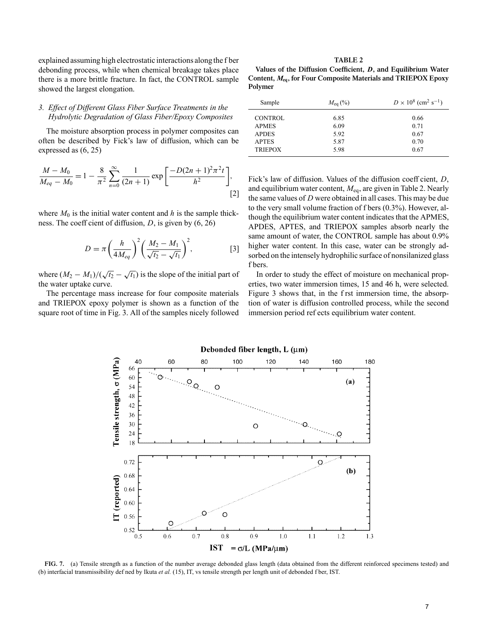explained assuming high electrostatic interactions along the f ber debonding process, while when chemical breakage takes place there is a more brittle fracture. In fact, the CONTROL sample showed the largest elongation.

# *3. Effect of Different Glass Fiber Surface Treatments in the Hydrolytic Degradation of Glass Fiber/Epoxy Composites*

The moisture absorption process in polymer composites can often be described by Fick's law of diffusion, which can be expressed as (6, 25)

$$
\frac{M - M_0}{M_{eq} - M_0} = 1 - \frac{8}{\pi^2} \sum_{n=0}^{\infty} \frac{1}{(2n+1)} \exp\left[\frac{-D(2n+1)^2 \pi^2 t}{h^2}\right],
$$
\n[2]

where  $M_0$  is the initial water content and  $h$  is the sample thickness. The coeff cient of diffusion, *D*, is given by (6, 26)

$$
D = \pi \left(\frac{h}{4M_{eq}}\right)^2 \left(\frac{M_2 - M_1}{\sqrt{t_2} - \sqrt{t_1}}\right)^2, \tag{3}
$$

where  $(M_2 - M_1)/(\sqrt{t_2} - \sqrt{t_1})$  is the slope of the initial part of the water uptake curve.

The percentage mass increase for four composite materials and TRIEPOX epoxy polymer is shown as a function of the square root of time in Fig. 3. All of the samples nicely followed

**TABLE 2**

| Values of the Diffusion Coefficient, D, and Equilibrium Water      |  |
|--------------------------------------------------------------------|--|
| Content, $M_{eq}$ , for Four Composite Materials and TRIEPOX Epoxy |  |
| Polymer                                                            |  |

| $M_{\rm eq}$ (%) | $D \times 10^8$ (cm <sup>2</sup> s <sup>-1</sup> ) |
|------------------|----------------------------------------------------|
| 6.85             | 0.66                                               |
| 6.09             | 0.71                                               |
| 5.92             | 0.67                                               |
| 5.87             | 0.70                                               |
| 5.98             | 0.67                                               |
|                  |                                                    |

Fick's law of diffusion. Values of the diffusion coeff cient, *D*, and equilibrium water content, *M*eq, are given in Table 2. Nearly the same values of *D* were obtained in all cases. This may be due to the very small volume fraction of f bers (0.3%). However, although the equilibrium water content indicates that the APMES, APDES, APTES, and TRIEPOX samples absorb nearly the same amount of water, the CONTROL sample has about 0.9% higher water content. In this case, water can be strongly adsorbed on the intensely hydrophilic surface of nonsilanized glass f bers.

In order to study the effect of moisture on mechanical properties, two water immersion times, 15 and 46 h, were selected. Figure 3 shows that, in the f rst immersion time, the absorption of water is diffusion controlled process, while the second immersion period ref ects equilibrium water content.



**FIG. 7.** (a) Tensile strength as a function of the number average debonded glass length (data obtained from the different reinforced specimens tested) and (b) interfacial transmissibility def ned by Ikuta *et al.* (15), IT, vs tensile strength per length unit of debonded f ber, IST.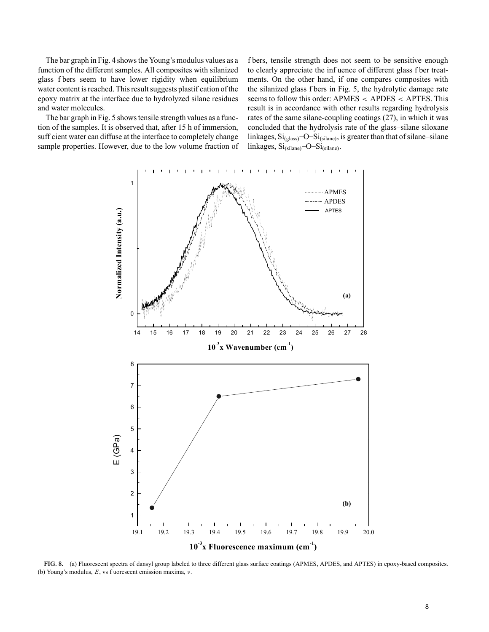The bar graph in Fig. 4 shows the Young's modulus values as a function of the different samples. All composites with silanized glass f bers seem to have lower rigidity when equilibrium water content is reached. This result suggests plastif cation of the epoxy matrix at the interface due to hydrolyzed silane residues and water molecules.

The bar graph in Fig. 5 shows tensile strength values as a function of the samples. It is observed that, after 15 h of immersion, suff cient water can diffuse at the interface to completely change sample properties. However, due to the low volume fraction of f bers, tensile strength does not seem to be sensitive enough to clearly appreciate the inf uence of different glass f ber treatments. On the other hand, if one compares composites with the silanized glass f bers in Fig. 5, the hydrolytic damage rate seems to follow this order: APMES < APDES < APTES. This result is in accordance with other results regarding hydrolysis rates of the same silane-coupling coatings (27), in which it was concluded that the hydrolysis rate of the glass–silane siloxane linkages,  $\mathrm{Si}_{\text{(glass)}}$ -O- $\mathrm{Si}_{\text{(silane)}}$ , is greater than that of silane–silane linkages, Si<sub>(silane)</sub>-O-Si<sub>(silane)</sub>.



**FIG. 8.** (a) Fluorescent spectra of dansyl group labeled to three different glass surface coatings (APMES, APDES, and APTES) in epoxy-based composites. (b) Young's modulus, *E*, vs f uorescent emission maxima, ν.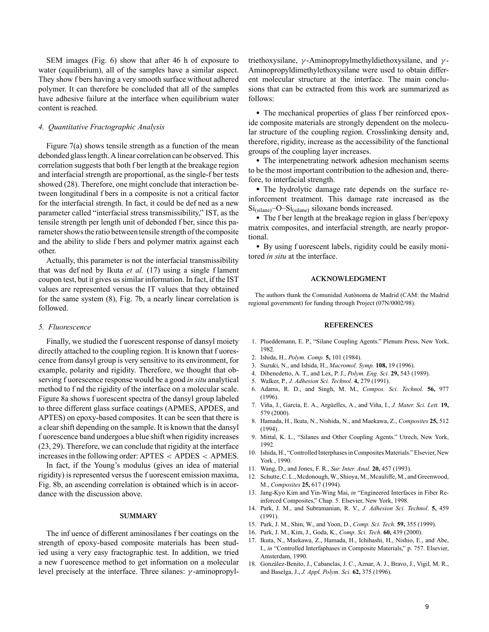SEM images (Fig. 6) show that after 46 h of exposure to water (equilibrium), all of the samples have a similar aspect. They show f bers having a very smooth surface without adhered polymer. It can therefore be concluded that all of the samples have adhesive failure at the interface when equilibrium water content is reached.

#### *4. Quantitative Fractographic Analysis*

Figure 7(a) shows tensile strength as a function of the mean debonded glass length. A linear correlation can be observed. This correlation suggests that both f ber length at the breakage region and interfacial strength are proportional, as the single-f ber tests showed (28). Therefore, one might conclude that interaction between longitudinal f bers in a composite is not a critical factor for the interfacial strength. In fact, it could be def ned as a new parameter called "interfacial stress transmissibility," IST, as the tensile strength per length unit of debonded f ber, since this parameter shows the ratio between tensile strength of the composite and the ability to slide f bers and polymer matrix against each other.

Actually, this parameter is not the interfacial transmissibility that was def ned by Ikuta *et al.* (17) using a single f lament coupon test, but it gives us similar information. In fact, if the IST values are represented versus the IT values that they obtained for the same system (8), Fig. 7b, a nearly linear correlation is followed.

## *5. Fluorescence*

Finally, we studied the f uorescent response of dansyl moiety directly attached to the coupling region. It is known that f uorescence from dansyl group is very sensitive to its environment, for example, polarity and rigidity. Therefore, we thought that observing f uorescence response would be a good *in situ* analytical method to f nd the rigidity of the interface on a molecular scale. Figure 8a shows f uorescent spectra of the dansyl group labeled to three different glass surface coatings (APMES, APDES, and APTES) on epoxy-based composites. It can be seen that there is a clear shift depending on the sample. It is known that the dansyl f uorescence band undergoes a blue shift when rigidity increases (23, 29). Therefore, we can conclude that rigidity at the interface increases in the following order: APTES < APDES < APMES.

In fact, if the Young's modulus (gives an idea of material rigidity) is represented versus the f uorescent emission maxima, Fig. 8b, an ascending correlation is obtained which is in accordance with the discussion above.

#### **SUMMARY**

The inf uence of different aminosilanes f ber coatings on the strength of epoxy-based composite materials has been studied using a very easy fractographic test. In addition, we tried a new f uorescence method to get information on a molecular level precisely at the interface. Three silanes:  $\gamma$ -aminopropyltriethoxysilane,  $\gamma$ -Aminopropylmethyldiethoxysilane, and  $\gamma$ -Aminopropyldimethylethoxysilane were used to obtain different molecular structure at the interface. The main conclusions that can be extracted from this work are summarized as follows:

• The mechanical properties of glass f ber reinforced epoxide composite materials are strongly dependent on the molecular structure of the coupling region. Crosslinking density and, therefore, rigidity, increase as the accessibility of the functional groups of the coupling layer increases.

• The interpenetrating network adhesion mechanism seems to be the most important contribution to the adhesion and, therefore, to interfacial strength.

• The hydrolytic damage rate depends on the surface reinforcement treatment. This damage rate increased as the  $Si$ <sub>(silane)</sub>–O– $Si$ <sub>(silane)</sub> siloxane bonds increased.

• The f ber length at the breakage region in glass f ber/epoxy matrix composites, and interfacial strength, are nearly proportional.

• By using f uorescent labels, rigidity could be easily monitored *in situ* at the interface.

### **ACKNOWLEDGMENT**

The authors thank the Comunidad Autónoma de Madrid (CAM: the Madrid regional government) for funding through Project (07N/0002/98).

#### **REFERENCES**

- 1. Plueddemann, E. P., "Silane Coupling Agents." Plenum Press, New York, 1982.
- 2. Ishida, H., *Polym. Comp.* **5,** 101 (1984).
- 3. Suzuki, N., and Ishida, H., *Macromol. Symp.* **108,** 19 (1996).
- 4. Dibenedetto, A. T., and Lex, P. J., *Polym. Eng. Sci.* **29,** 543 (1989).
- 5. Walker, P., *J. Adhesion Sci. Technol.* **4,** 279 (1991).
- 6. Adams, R. D., and Singh, M. M., *Compos. Sci. Technol.* **56,** 977 (1996).
- 7. Viña, J., García, E. A., Argüelles, A., and Viña, I., *J. Mater. Sci. Lett.* **19,** 579 (2000).
- 8. Hamada, H., Ikuta, N., Nishida, N., and Maekawa, Z., *Composites* **25,** 512 (1994).
- 9. Mittal, K. L., "Silanes and Other Coupling Agents." Utrech, New York, 1992.
- 10. Ishida, H., "Controlled Interphases in Composites Materials." Elsevier, New York , 1990.
- 11. Wang, D., and Jones, F. R., *Sur. Inter. Anal.* **20,** 457 (1993).
- 12. Schutte, C. L., Mcdonough, W., Shioya, M., Mcauliffe, M., and Greenwood, M., *Composites* **25,** 617 (1994).
- 13. Jang-Kyo Kim and Yin-Wing Mai, *in* "Engineered Interfaces in Fiber Reinforced Composites," Chap. 5. Elsevier, New York, 1998.
- 14. Park, J. M., and Subramanian, R. V., *J. Adhesion Sci. Technol.* **5,** 459 (1991).
- 15. Park, J. M., Shin, W., and Yoon, D., *Comp. Sci. Tech.* **59,** 355 (1999).
- 16. Park, J. M., Kim, J., Goda, K., *Comp. Sci. Tech.* **60,** 439 (2000).
- 17. Ikuta, N., Maekawa, Z., Hamada, H., Ichihashi, H., Nishio, E., and Abe, I., *in* "Controlled Interfaphases in Composite Materials," p. 757. Elsevier, Amsterdam, 1990.
- 18. González-Benito, J., Cabanelas, J. C., Aznar, A. J., Bravo, J., Vigil, M. R., and Baselga, J., *J. Appl. Polym. Sci.* **62,** 375 (1996).